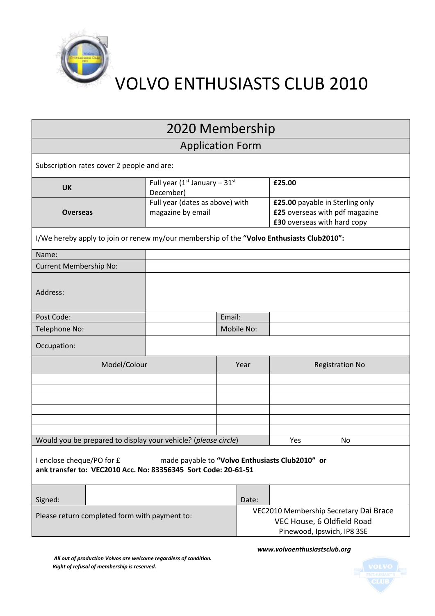

VOLVO ENTHUSIASTS CLUB 2010

| 2020 Membership                                                                                                                                |                                                       |        |                                                                                                    |                                                                                                  |                        |
|------------------------------------------------------------------------------------------------------------------------------------------------|-------------------------------------------------------|--------|----------------------------------------------------------------------------------------------------|--------------------------------------------------------------------------------------------------|------------------------|
| <b>Application Form</b>                                                                                                                        |                                                       |        |                                                                                                    |                                                                                                  |                        |
| Subscription rates cover 2 people and are:                                                                                                     |                                                       |        |                                                                                                    |                                                                                                  |                        |
| <b>UK</b>                                                                                                                                      | Full year ( $1^{st}$ January - $31^{st}$<br>December) |        |                                                                                                    | £25.00                                                                                           |                        |
| <b>Overseas</b>                                                                                                                                | Full year (dates as above) with<br>magazine by email  |        |                                                                                                    | £25.00 payable in Sterling only<br>£25 overseas with pdf magazine<br>£30 overseas with hard copy |                        |
| I/We hereby apply to join or renew my/our membership of the "Volvo Enthusiasts Club2010":                                                      |                                                       |        |                                                                                                    |                                                                                                  |                        |
| Name:                                                                                                                                          |                                                       |        |                                                                                                    |                                                                                                  |                        |
| Current Membership No:                                                                                                                         |                                                       |        |                                                                                                    |                                                                                                  |                        |
| Address:                                                                                                                                       |                                                       |        |                                                                                                    |                                                                                                  |                        |
| Post Code:                                                                                                                                     |                                                       | Email: |                                                                                                    |                                                                                                  |                        |
| Telephone No:                                                                                                                                  | Mobile No:                                            |        |                                                                                                    |                                                                                                  |                        |
| Occupation:                                                                                                                                    |                                                       |        |                                                                                                    |                                                                                                  |                        |
| Model/Colour                                                                                                                                   |                                                       | Year   |                                                                                                    |                                                                                                  | <b>Registration No</b> |
|                                                                                                                                                |                                                       |        |                                                                                                    |                                                                                                  |                        |
|                                                                                                                                                |                                                       |        |                                                                                                    |                                                                                                  |                        |
|                                                                                                                                                |                                                       |        |                                                                                                    |                                                                                                  |                        |
|                                                                                                                                                |                                                       |        |                                                                                                    |                                                                                                  |                        |
|                                                                                                                                                |                                                       |        |                                                                                                    |                                                                                                  |                        |
| Would you be prepared to display your vehicle? (please circle)                                                                                 |                                                       |        |                                                                                                    | Yes                                                                                              | No                     |
| I enclose cheque/PO for £<br>made payable to "Volvo Enthusiasts Club2010" or<br>ank transfer to: VEC2010 Acc. No: 83356345 Sort Code: 20-61-51 |                                                       |        |                                                                                                    |                                                                                                  |                        |
| Signed:                                                                                                                                        |                                                       |        | Date:                                                                                              |                                                                                                  |                        |
| Please return completed form with payment to:                                                                                                  |                                                       |        | VEC2010 Membership Secretary Dai Brace<br>VEC House, 6 Oldfield Road<br>Pinewood, Ipswich, IP8 3SE |                                                                                                  |                        |

 *www.volvoenthusiastsclub.org*

*All out of production Volvos are welcome regardless of condition. Right of refusal of membership is reserved.*